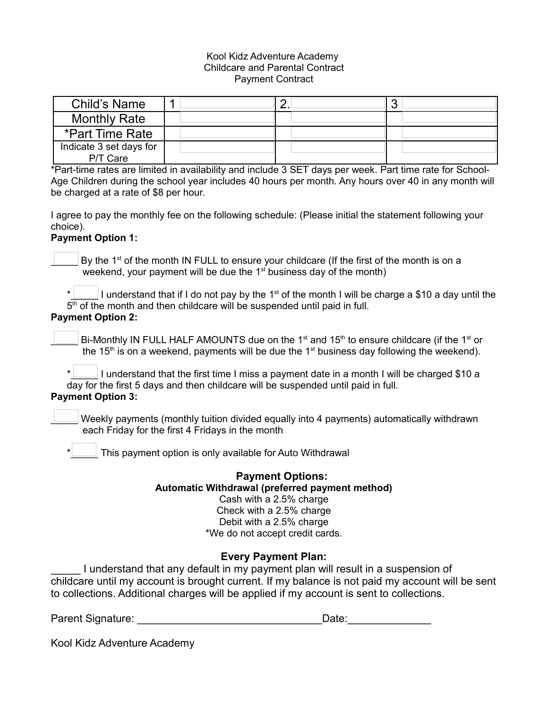### Kool Kidz Adventure Academy Childcare and Parental Contract Payment Contract

| Child's Name                        |  |  |
|-------------------------------------|--|--|
| <b>Monthly Rate</b>                 |  |  |
| *Part Time Rate                     |  |  |
| Indicate 3 set days for<br>P/T Care |  |  |

\*Part-time rates are limited in availability and include 3 SET days per week. Part time rate for School-Age Children during the school year includes 40 hours per month. Any hours over 40 in any month will be charged at a rate of \$8 per hour.

I agree to pay the monthly fee on the following schedule: (Please initial the statement following your choice).

## **Payment Option 1:**

By the 1<sup>st</sup> of the month IN FULL to ensure your childcare (If the first of the month is on a weekend, your payment will be due the  $1<sup>st</sup>$  business day of the month)

\*  $\Box$  I understand that if I do not pay by the 1<sup>st</sup> of the month I will be charge a \$10 a day until the 5<sup>th</sup> of the month and then childcare will be suspended until paid in full. **Payment Option 2:**

Bi-Monthly IN FULL HALF AMOUNTS due on the 1<sup>st</sup> and 15<sup>th</sup> to ensure childcare (if the 1<sup>st</sup> or the 15<sup>th</sup> is on a weekend, payments will be due the 1<sup>st</sup> business day following the weekend).

 $\star$   $\Box$  I understand that the first time I miss a payment date in a month I will be charged \$10 a day for the first 5 days and then childcare will be suspended until paid in full. **Payment Option 3:**

Weekly payments (monthly tuition divided equally into 4 payments) automatically withdrawn each Friday for the first 4 Fridays in the month

 $\perp$  This payment option is only available for Auto Withdrawal

# **Payment Options: Automatic Withdrawal (preferred payment method)**

Cash with a 2.5% charge Check with a 2.5% charge Debit with a 2.5% charge \*We do not accept credit cards.

## **Every Payment Plan:**

I understand that any default in my payment plan will result in a suspension of childcare until my account is brought current. If my balance is not paid my account will be sent to collections. Additional charges will be applied if my account is sent to collections.

Parent Signature: \_\_\_\_\_\_\_\_\_\_\_\_\_\_\_\_\_\_\_\_\_\_\_\_\_\_\_\_\_\_\_Date:\_\_\_\_\_\_\_\_\_\_\_\_\_\_

Kool Kidz Adventure Academy